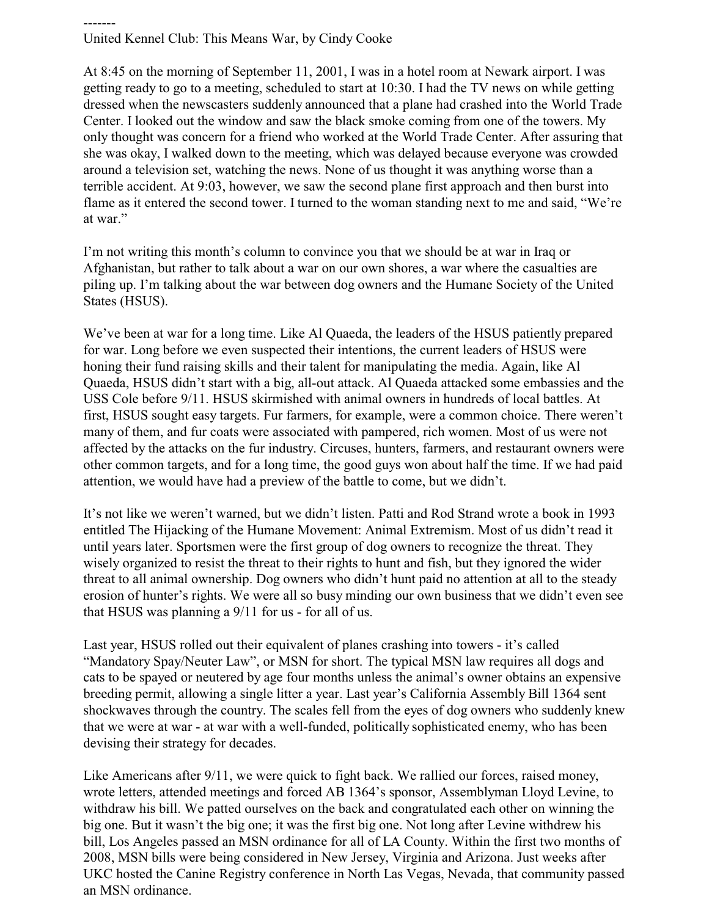-------

United Kennel Club: This Means War, by Cindy Cooke

At 8:45 on the morning of September 11, 2001, I was in a hotel room at Newark airport. I was getting ready to go to a meeting, scheduled to start at 10:30. I had the TV news on while getting dressed when the newscasters suddenly announced that a plane had crashed into the World Trade Center. I looked out the window and saw the black smoke coming from one of the towers. My only thought was concern for a friend who worked at the World Trade Center. After assuring that she was okay, I walked down to the meeting, which was delayed because everyone was crowded around a television set, watching the news. None of us thought it was anything worse than a terrible accident. At 9:03, however, we saw the second plane first approach and then burst into flame as it entered the second tower. I turned to the woman standing next to me and said, "We're at war."

I'm not writing this month's column to convince you that we should be at war in Iraq or Afghanistan, but rather to talk about a war on our own shores, a war where the casualties are piling up. I'm talking about the war between dog owners and the Humane Society of the United States (HSUS).

We've been at war for a long time. Like Al Quaeda, the leaders of the HSUS patiently prepared for war. Long before we even suspected their intentions, the current leaders of HSUS were honing their fund raising skills and their talent for manipulating the media. Again, like Al Quaeda, HSUS didn't start with a big, all-out attack. Al Quaeda attacked some embassies and the USS Cole before 9/11. HSUS skirmished with animal owners in hundreds of local battles. At first, HSUS sought easy targets. Fur farmers, for example, were a common choice. There weren't many of them, and fur coats were associated with pampered, rich women. Most of us were not affected by the attacks on the fur industry. Circuses, hunters, farmers, and restaurant owners were other common targets, and for a long time, the good guys won about half the time. If we had paid attention, we would have had a preview of the battle to come, but we didn't.

It's not like we weren't warned, but we didn't listen. Patti and Rod Strand wrote a book in 1993 entitled The Hijacking of the Humane Movement: Animal Extremism. Most of us didn't read it until years later. Sportsmen were the first group of dog owners to recognize the threat. They wisely organized to resist the threat to their rights to hunt and fish, but they ignored the wider threat to all animal ownership. Dog owners who didn't hunt paid no attention at all to the steady erosion of hunter's rights. We were all so busy minding our own business that we didn't even see that HSUS was planning a 9/11 for us - for all of us.

Last year, HSUS rolled out their equivalent of planes crashing into towers - it's called "Mandatory Spay/Neuter Law", or MSN for short. The typical MSN law requires all dogs and cats to be spayed or neutered by age four months unless the animal's owner obtains an expensive breeding permit, allowing a single litter a year. Last year's California Assembly Bill 1364 sent shockwaves through the country. The scales fell from the eyes of dog owners who suddenly knew that we were at war - at war with a well-funded, politically sophisticated enemy, who has been devising their strategy for decades.

Like Americans after 9/11, we were quick to fight back. We rallied our forces, raised money, wrote letters, attended meetings and forced AB 1364's sponsor, Assemblyman Lloyd Levine, to withdraw his bill. We patted ourselves on the back and congratulated each other on winning the big one. But it wasn't the big one; it was the first big one. Not long after Levine withdrew his bill, Los Angeles passed an MSN ordinance for all of LA County. Within the first two months of 2008, MSN bills were being considered in New Jersey, Virginia and Arizona. Just weeks after UKC hosted the Canine Registry conference in North Las Vegas, Nevada, that community passed an MSN ordinance.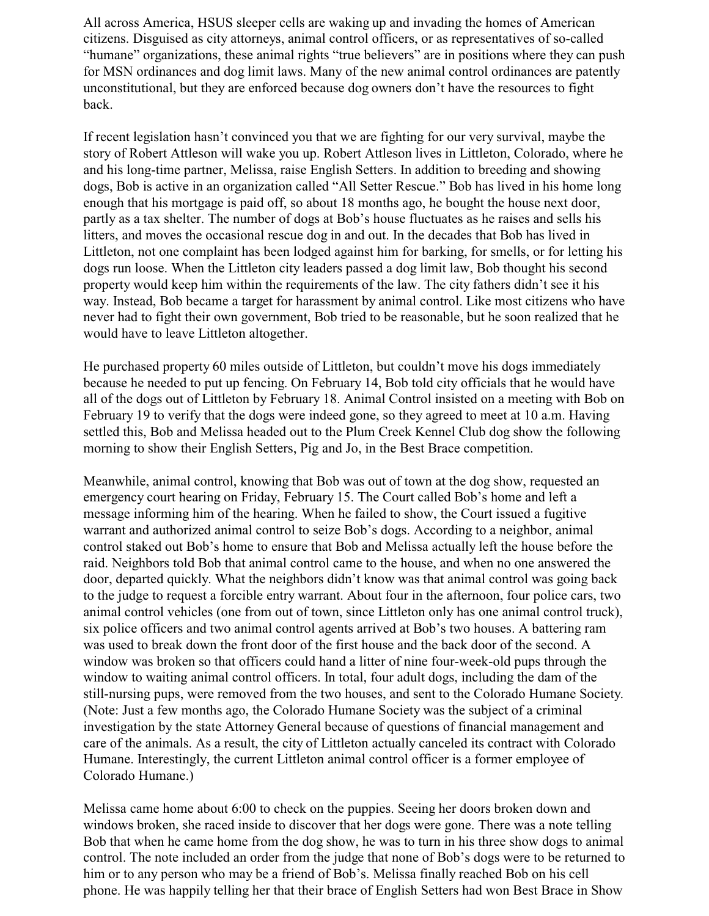All across America, HSUS sleeper cells are waking up and invading the homes of American citizens. Disguised as city attorneys, animal control officers, or as representatives of so-called "humane" organizations, these animal rights "true believers" are in positions where they can push for MSN ordinances and dog limit laws. Many of the new animal control ordinances are patently unconstitutional, but they are enforced because dog owners don't have the resources to fight back.

If recent legislation hasn't convinced you that we are fighting for our very survival, maybe the story of Robert Attleson will wake you up. Robert Attleson lives in Littleton, Colorado, where he and his long-time partner, Melissa, raise English Setters. In addition to breeding and showing dogs, Bob is active in an organization called "All Setter Rescue." Bob has lived in his home long enough that his mortgage is paid off, so about 18 months ago, he bought the house next door, partly as a tax shelter. The number of dogs at Bob's house fluctuates as he raises and sells his litters, and moves the occasional rescue dog in and out. In the decades that Bob has lived in Littleton, not one complaint has been lodged against him for barking, for smells, or for letting his dogs run loose. When the Littleton city leaders passed a dog limit law, Bob thought his second property would keep him within the requirements of the law. The city fathers didn't see it his way. Instead, Bob became a target for harassment by animal control. Like most citizens who have never had to fight their own government, Bob tried to be reasonable, but he soon realized that he would have to leave Littleton altogether.

He purchased property 60 miles outside of Littleton, but couldn't move his dogs immediately because he needed to put up fencing. On February 14, Bob told city officials that he would have all of the dogs out of Littleton by February 18. Animal Control insisted on a meeting with Bob on February 19 to verify that the dogs were indeed gone, so they agreed to meet at 10 a.m. Having settled this, Bob and Melissa headed out to the Plum Creek Kennel Club dog show the following morning to show their English Setters, Pig and Jo, in the Best Brace competition.

Meanwhile, animal control, knowing that Bob was out of town at the dog show, requested an emergency court hearing on Friday, February 15. The Court called Bob's home and left a message informing him of the hearing. When he failed to show, the Court issued a fugitive warrant and authorized animal control to seize Bob's dogs. According to a neighbor, animal control staked out Bob's home to ensure that Bob and Melissa actually left the house before the raid. Neighbors told Bob that animal control came to the house, and when no one answered the door, departed quickly. What the neighbors didn't know was that animal control was going back to the judge to request a forcible entry warrant. About four in the afternoon, four police cars, two animal control vehicles (one from out of town, since Littleton only has one animal control truck), six police officers and two animal control agents arrived at Bob's two houses. A battering ram was used to break down the front door of the first house and the back door of the second. A window was broken so that officers could hand a litter of nine four-week-old pups through the window to waiting animal control officers. In total, four adult dogs, including the dam of the still-nursing pups, were removed from the two houses, and sent to the Colorado Humane Society. (Note: Just a few months ago, the Colorado Humane Society was the subject of a criminal investigation by the state Attorney General because of questions of financial management and care of the animals. As a result, the city of Littleton actually canceled its contract with Colorado Humane. Interestingly, the current Littleton animal control officer is a former employee of Colorado Humane.)

Melissa came home about 6:00 to check on the puppies. Seeing her doors broken down and windows broken, she raced inside to discover that her dogs were gone. There was a note telling Bob that when he came home from the dog show, he was to turn in his three show dogs to animal control. The note included an order from the judge that none of Bob's dogs were to be returned to him or to any person who may be a friend of Bob's. Melissa finally reached Bob on his cell phone. He was happily telling her that their brace of English Setters had won Best Brace in Show